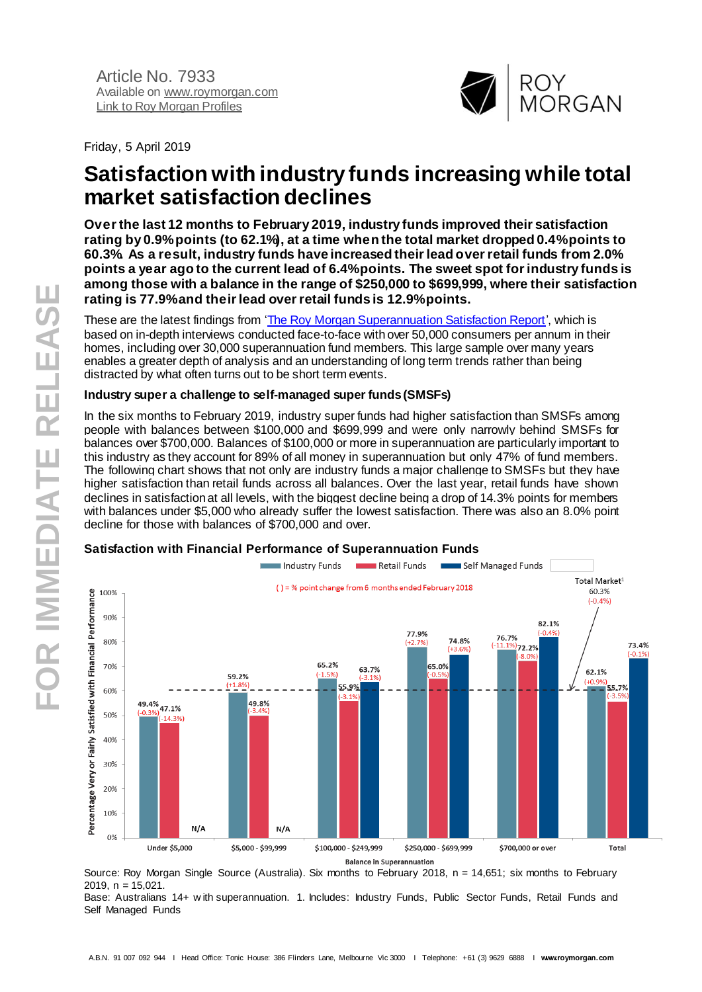

Friday, 5 April 2019

# **Satisfaction with industry funds increasing while total market satisfaction declines**

**Over the last 12 months to February 2019, industry funds improved their satisfaction rating by 0.9% points (to 62.1%), at a time when the total market dropped 0.4%points to 60.3%. As a result, industry funds have increased their lead over retail funds from 2.0% points a year ago to the current lead of 6.4% points. The sweet spot for industry funds is among those with a balance in the range of \$250,000 to \$699,999, where their satisfaction rating is 77.9% and their lead over retail funds is 12.9% points.**

These are the latest findings from ['The Roy Morgan Superannuation Satisfaction Report](https://store.roymorgan.com/product/Customer-Satisfaction---Financial-Performance-of-Superannuation-in-Australia-4838)', which is based on in-depth interviews conducted face-to-face with over 50,000 consumers per annum in their homes, including over 30,000 superannuation fund members. This large sample over many years enables a greater depth of analysis and an understanding of long term trends rather than being distracted by what often turns out to be short term events.

## **Industry super a challenge to self-managed super funds (SMSFs)**

In the six months to February 2019, industry super funds had higher satisfaction than SMSFs among people with balances between \$100,000 and \$699,999 and were only narrowly behind SMSFs for balances over \$700,000. Balances of \$100,000 or more in superannuation are particularly important to this industry as they account for 89% of all money in superannuation but only 47% of fund members. The following chart shows that not only are industry funds a major challenge to SMSFs but they have higher satisfaction than retail funds across all balances. Over the last year, retail funds have shown declines in satisfaction at all levels, with the biggest decline being a drop of 14.3% points for members with balances under \$5,000 who already suffer the lowest satisfaction. There was also an 8.0% point decline for those with balances of \$700,000 and over.



## **Satisfaction with Financial Performance of Superannuation Funds**

Source: Roy Morgan Single Source (Australia). Six months to February 2018, n = 14,651; six months to February 2019,  $n = 15.021$ .

Base: Australians 14+ w ith superannuation. 1. Includes: Industry Funds, Public Sector Funds, Retail Funds and Self Managed Funds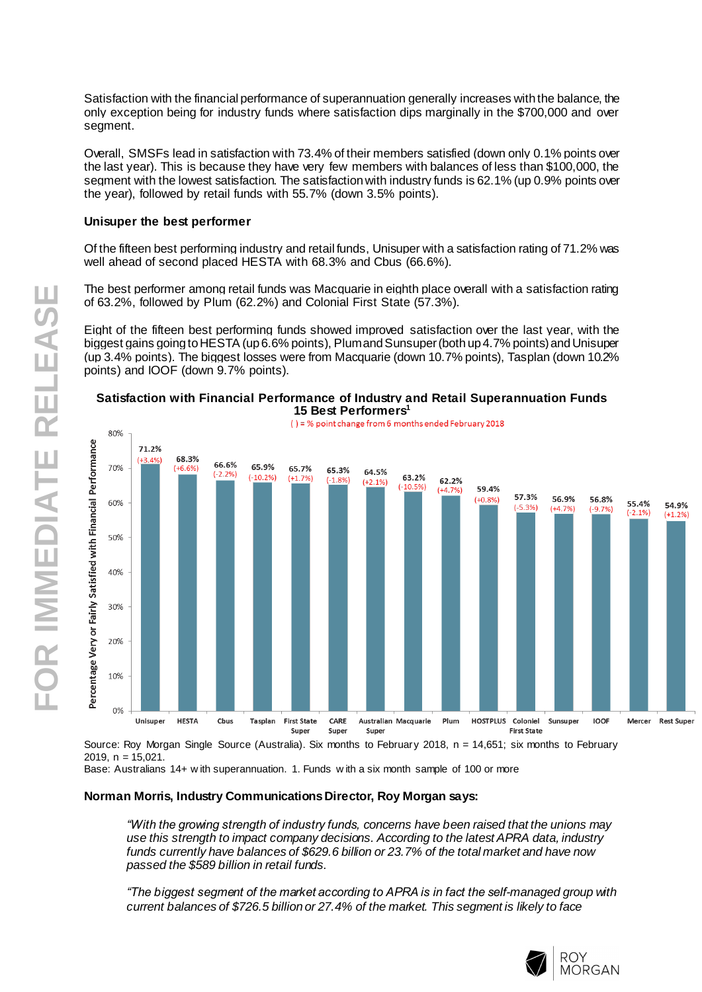Satisfaction with the financial performance of superannuation generally increases with the balance, the only exception being for industry funds where satisfaction dips marginally in the \$700,000 and over segment.

Overall, SMSFs lead in satisfaction with 73.4% of their members satisfied (down only 0.1% points over the last year). This is because they have very few members with balances of less than \$100,000, the segment with the lowest satisfaction. The satisfaction with industry funds is 62.1% (up 0.9% points over the year), followed by retail funds with 55.7% (down 3.5% points).

## **Unisuper the best performer**

Of the fifteen best performing industry and retail funds, Unisuper with a satisfaction rating of 71.2% was well ahead of second placed HESTA with 68.3% and Cbus (66.6%).

The best performer among retail funds was Macquarie in eighth place overall with a satisfaction rating of 63.2%, followed by Plum (62.2%) and Colonial First State (57.3%).

Eight of the fifteen best performing funds showed improved satisfaction over the last year, with the biggest gains going to HESTA (up 6.6% points), Plum and Sunsuper (both up 4.7% points) and Unisuper (up 3.4% points). The biggest losses were from Macquarie (down 10.7% points), Tasplan (down 10.2% points) and IOOF (down 9.7% points).



#### **Satisfaction with Financial Performance of Industry and Retail Superannuation Funds 15 Best Performers 1**

Source: Roy Morgan Single Source (Australia). Six months to February 2018, n = 14,651; six months to February  $2019 - n = 15,021$ 

Base: Australians 14+ w ith superannuation. 1. Funds w ith a six month sample of 100 or more

## **Norman Morris, Industry Communications Director, Roy Morgan says:**

*"With the growing strength of industry funds, concerns have been raised that the unions may use this strength to impact company decisions. According to the latest APRA data, industry funds currently have balances of \$629.6 billion or 23.7% of the total market and have now passed the \$589 billion in retail funds.* 

*"The biggest segment of the market according to APRA is in fact the self-managed group with current balances of \$726.5 billion or 27.4% of the market. This segment is likely to face*